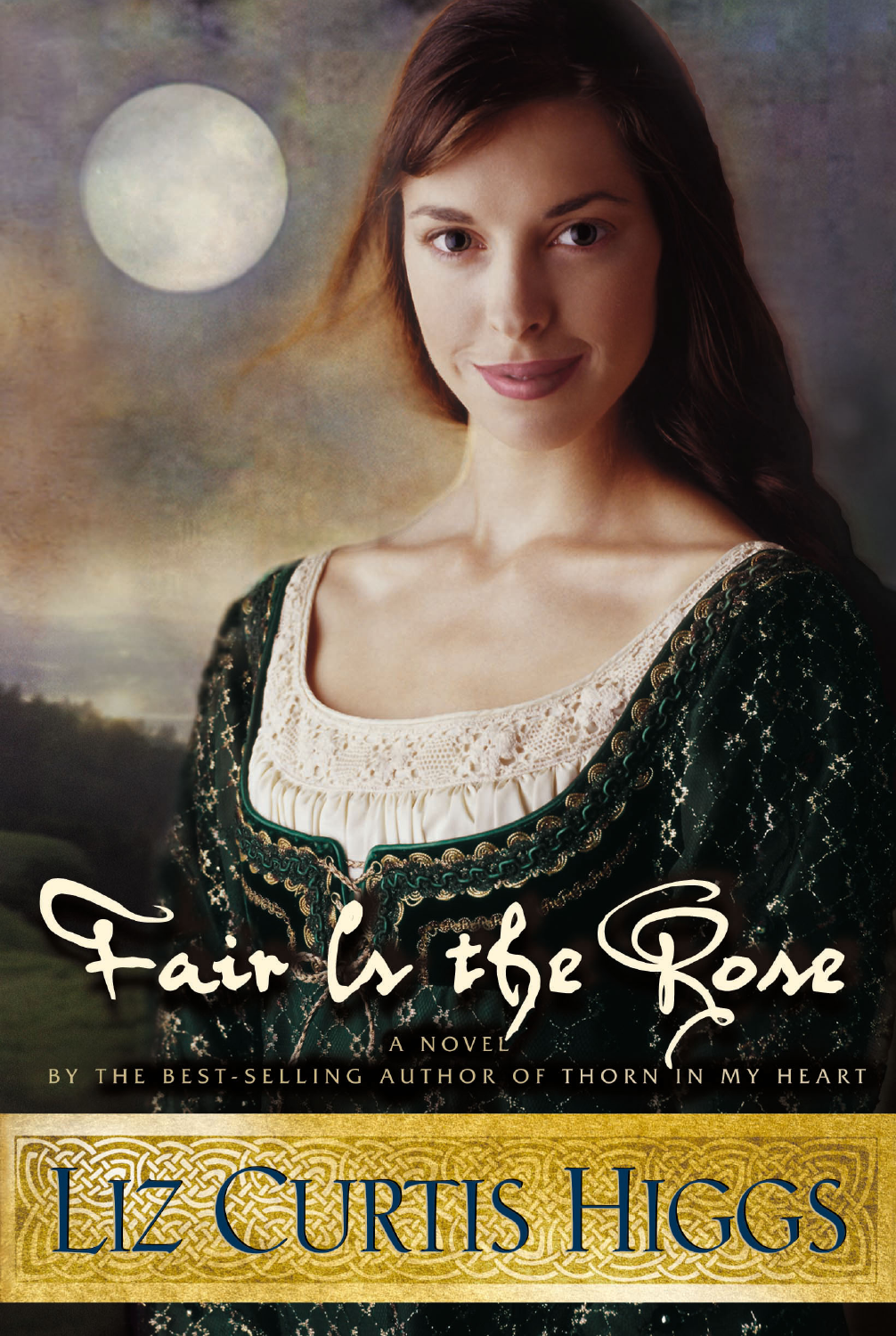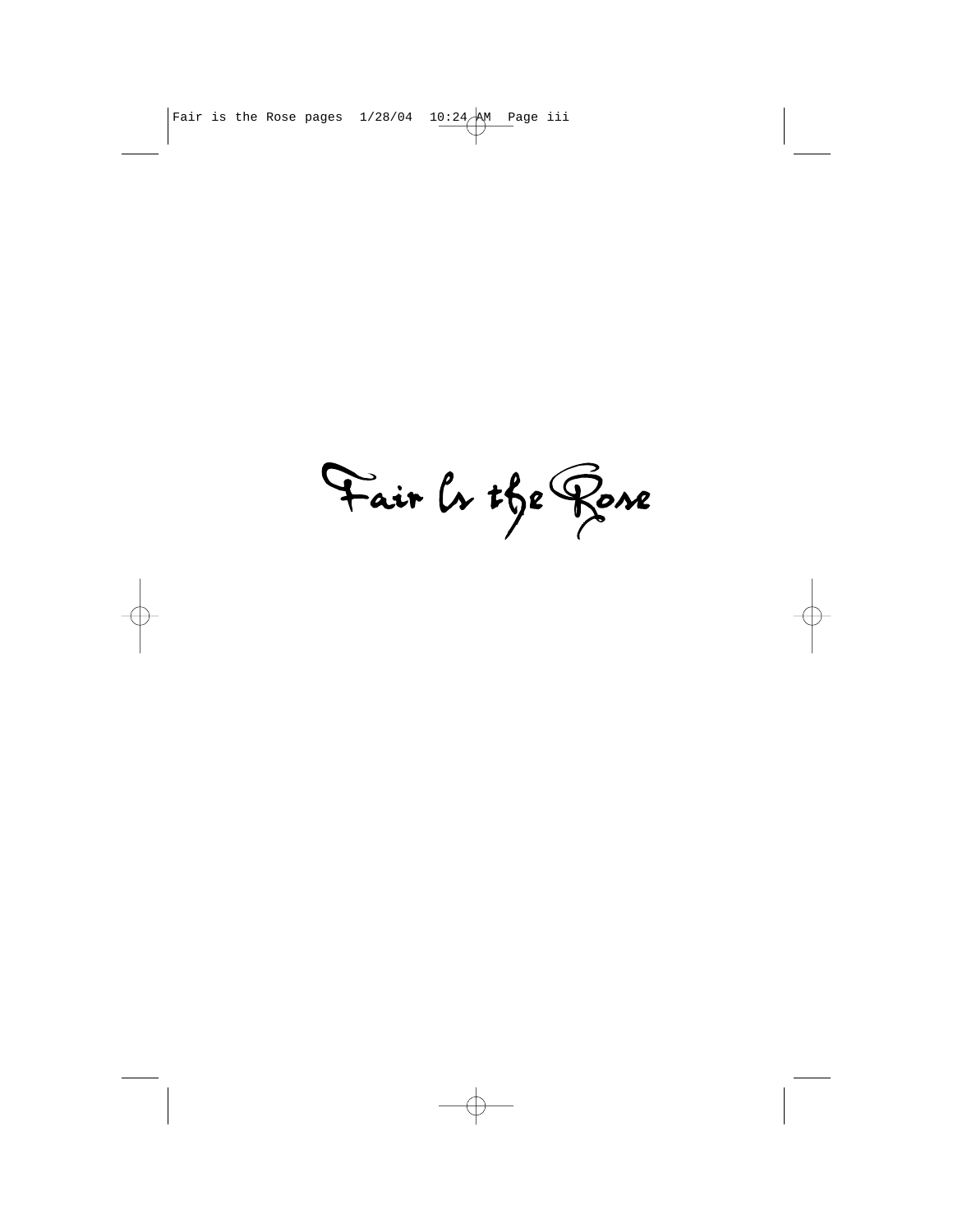Fair les the Rose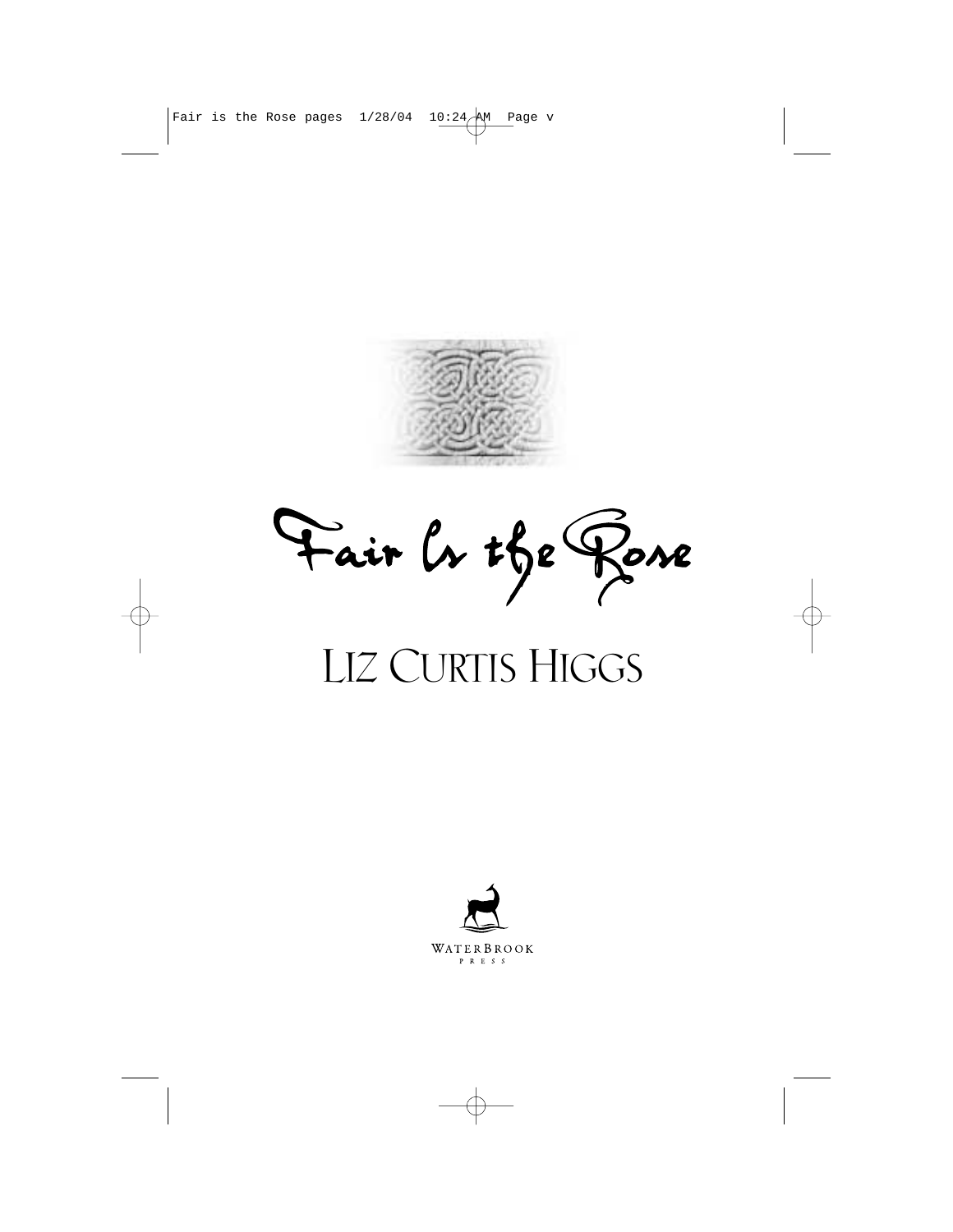

Fair le the Rose

## LIZ CURTIS HIGGS

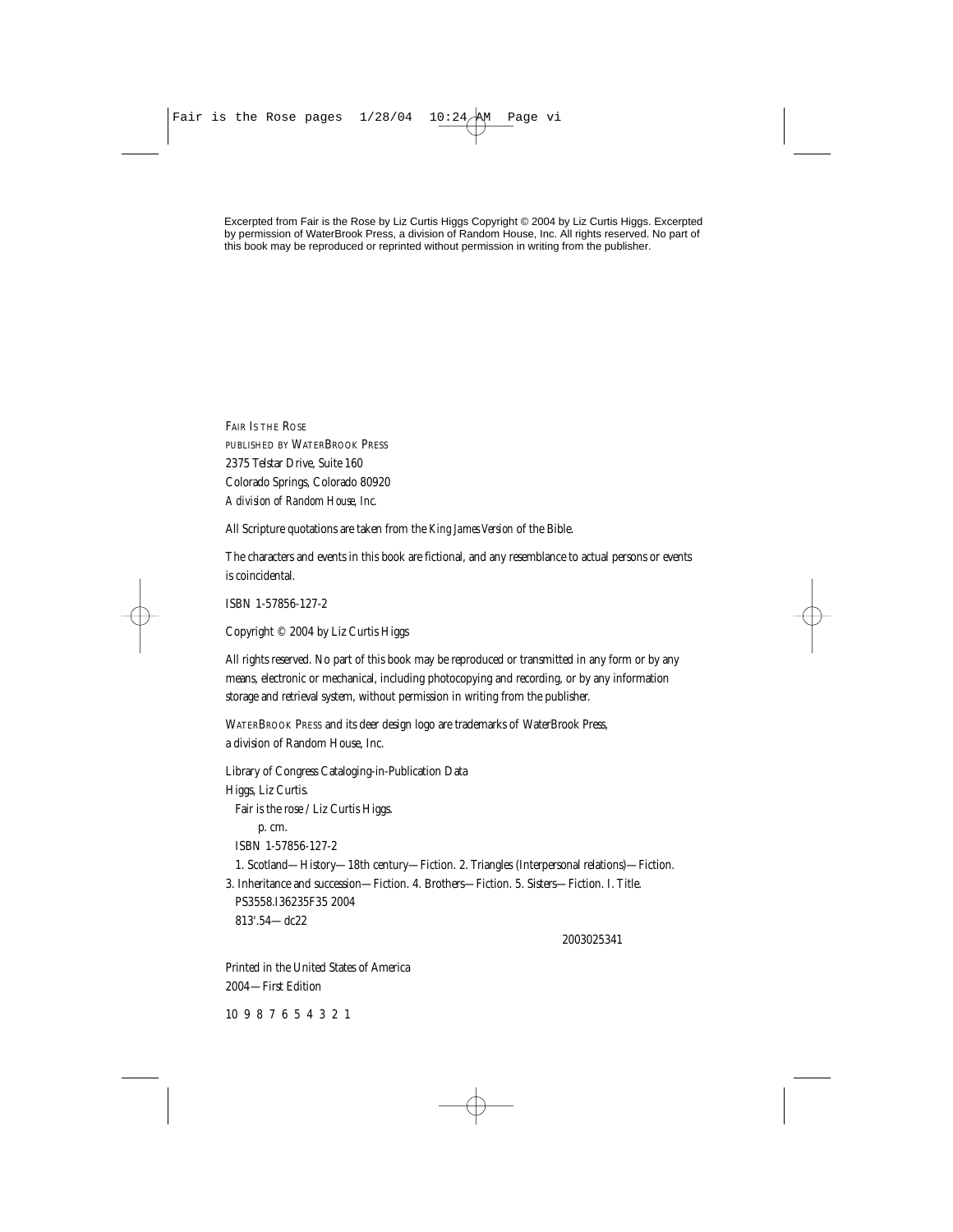Excerpted from Fair is the Rose by Liz Curtis Higgs Copyright © 2004 by Liz Curtis Higgs. Excerpted by permission of WaterBrook Press, a division of Random House, Inc. All rights reserved. No part of this book may be reproduced or reprinted without permission in writing from the publisher.

FAIR IS THE ROSE PUBLISHED BY WATERBROOK PRESS 2375 Telstar Drive, Suite 160 Colorado Springs, Colorado 80920 *A division of Random House, Inc.* 

All Scripture quotations are taken from the *King James Version* of the Bible.

The characters and events in this book are fictional, and any resemblance to actual persons or events is coincidental.

ISBN 1-57856-127-2

Copyright © 2004 by Liz Curtis Higgs

All rights reserved. No part of this book may be reproduced or transmitted in any form or by any means, electronic or mechanical, including photocopying and recording, or by any information storage and retrieval system, without permission in writing from the publisher.

WATERBROOK PRESS and its deer design logo are trademarks of WaterBrook Press, a division of Random House, Inc.

Library of Congress Cataloging-in-Publication Data

Higgs, Liz Curtis.

Fair is the rose / Liz Curtis Higgs.

p. cm.

ISBN 1-57856-127-2

1. Scotland—History—18th century—Fiction. 2. Triangles (Interpersonal relations)—Fiction.

3. Inheritance and succession—Fiction. 4. Brothers—Fiction. 5. Sisters—Fiction. I. Title. PS3558.I36235F35 2004

813'.54—dc22

2003025341

Printed in the United States of America 2004—First Edition

10 9 8 7 6 5 4 3 2 1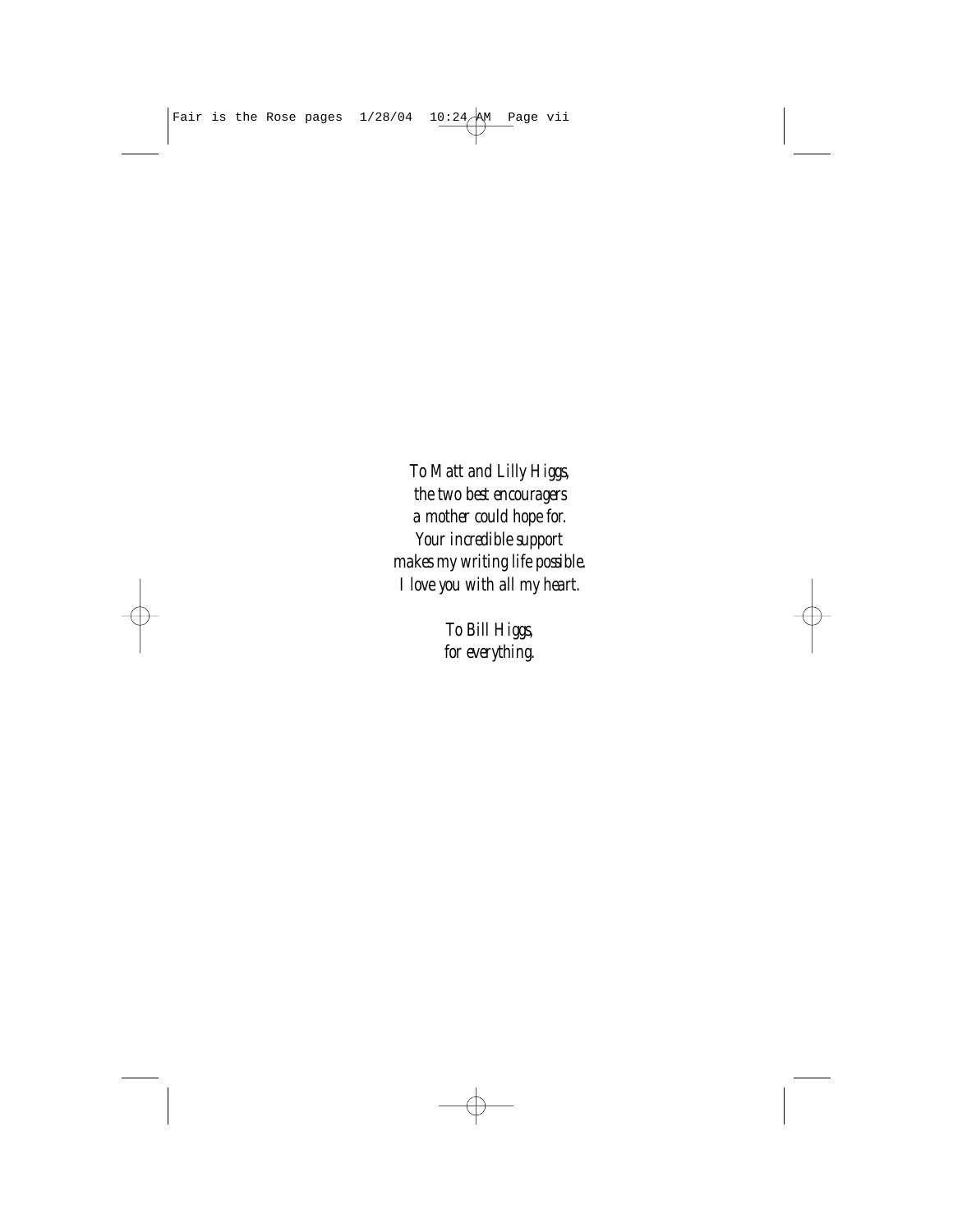*To Matt and Lilly Higgs, the two best encouragers a mother could hope for. Your incredible support makes my writing life possible. I love you with all my heart.*

> *To Bill Higgs, for everything.*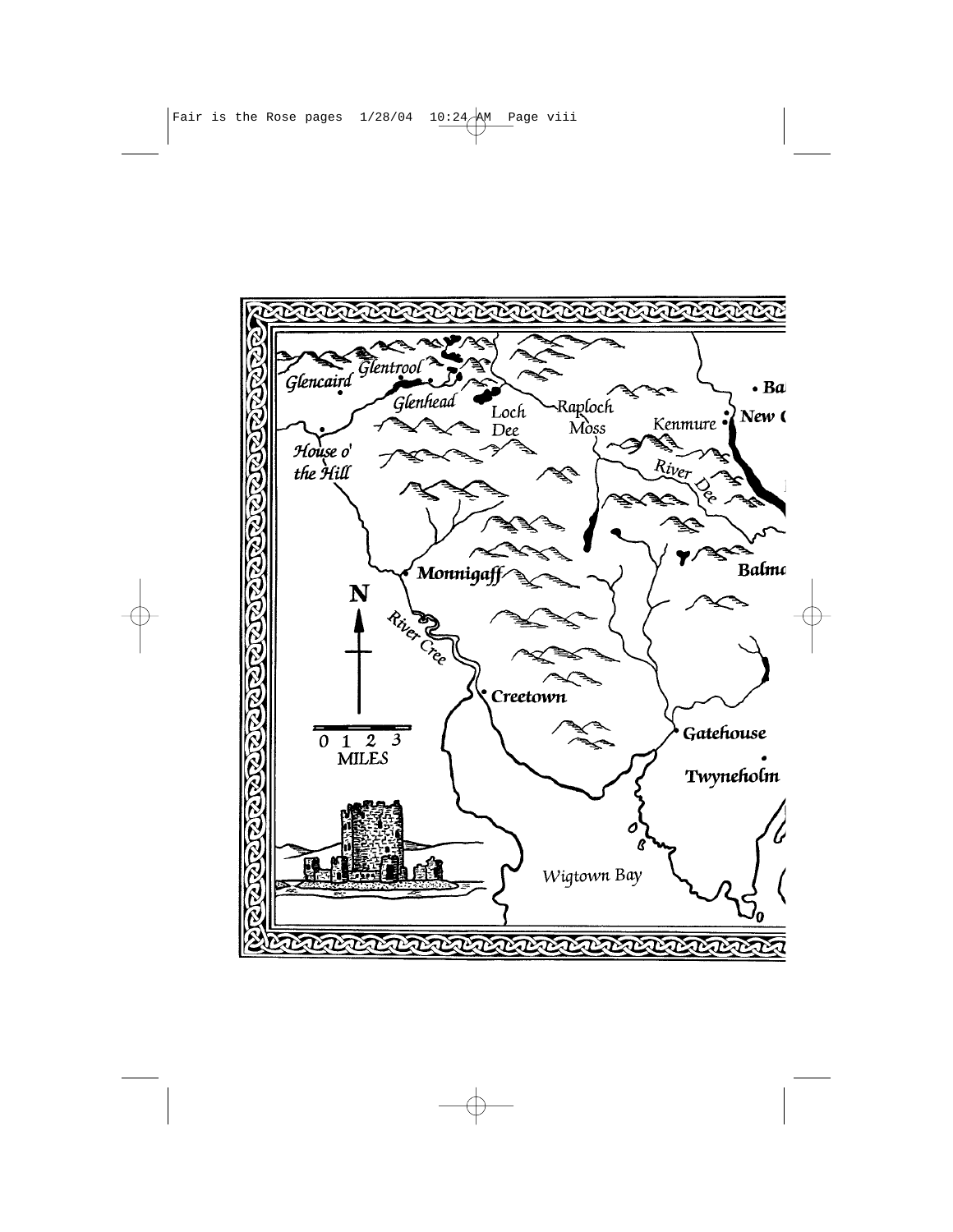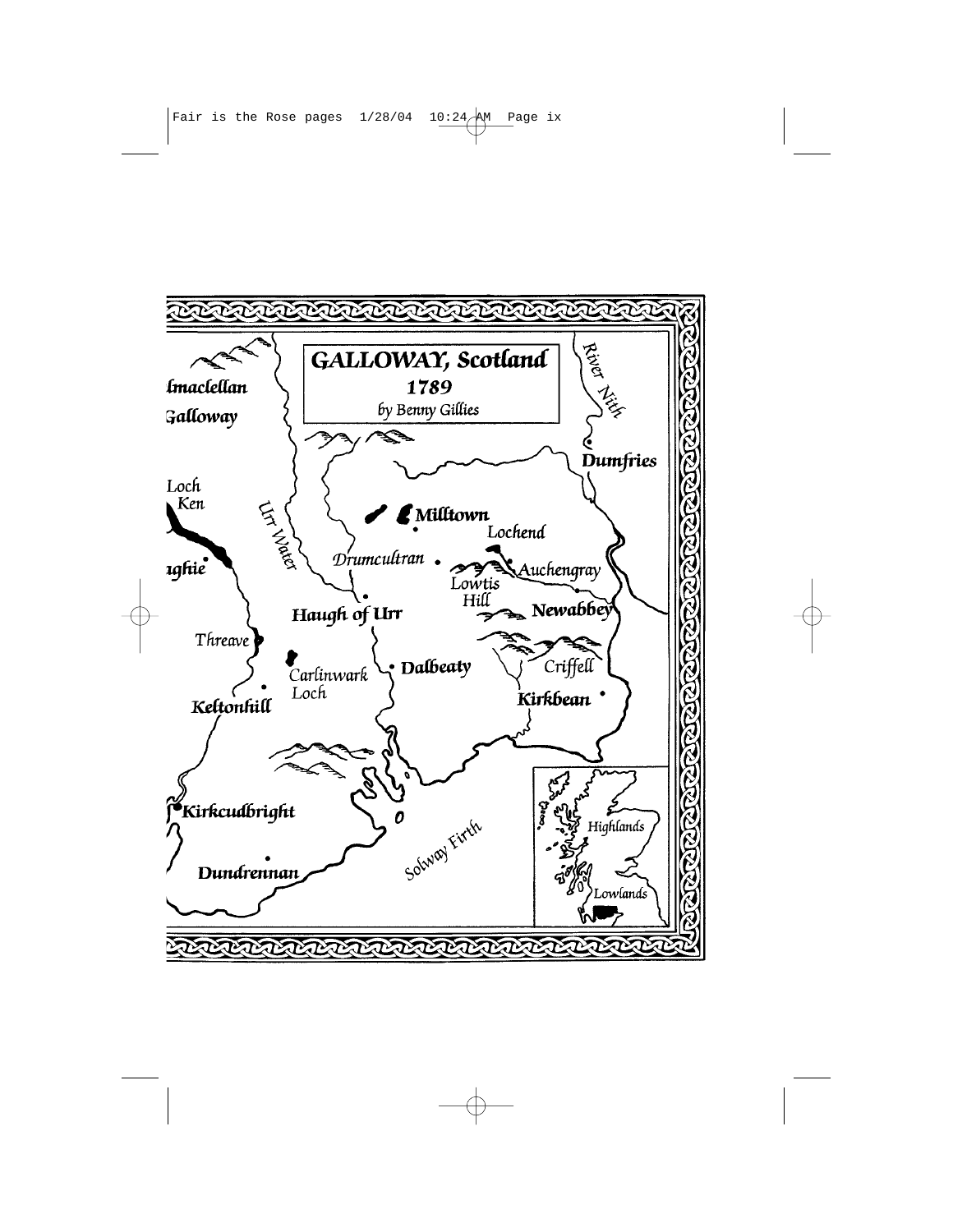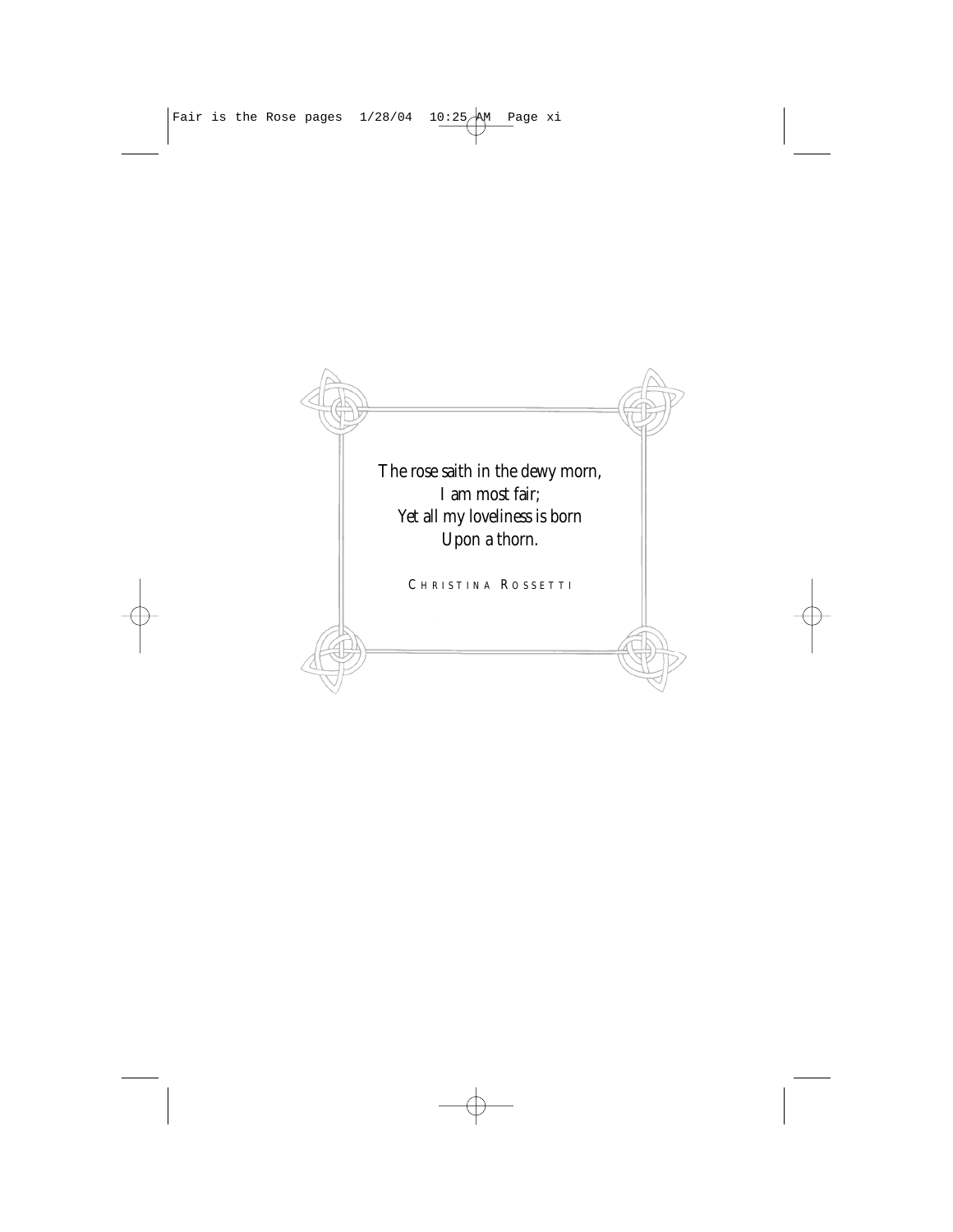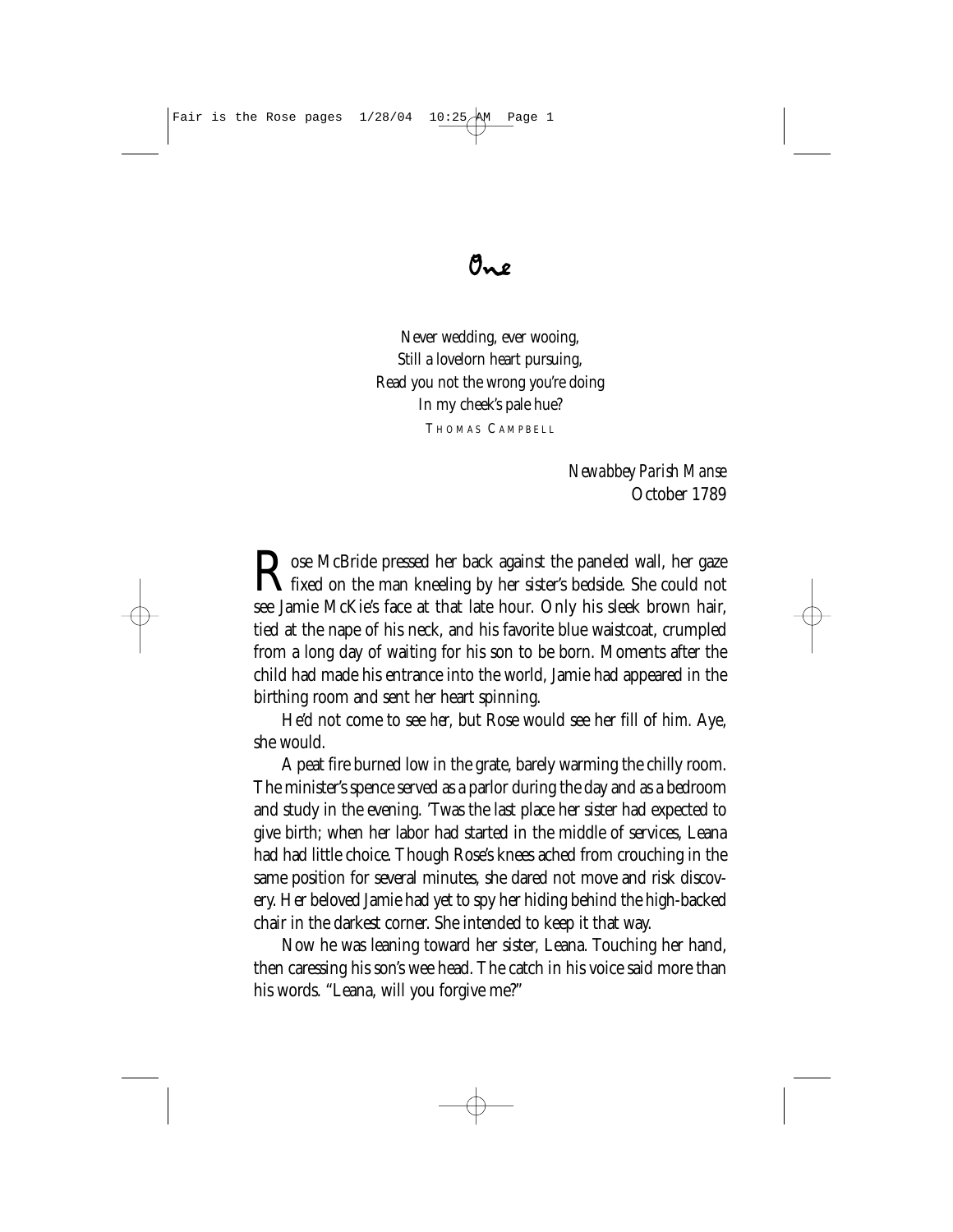## One

Never wedding, ever wooing, Still a lovelorn heart pursuing, Read you not the wrong you're doing In my cheek's pale hue? THOMAS CAMPBELL

> *Newabbey Parish Manse* October 1789

Rose McBride pressed her back against the paneled wall, her gaze<br>fixed on the man kneeling by her sister's bedside. She could not see Jamie McKie's face at that late hour. Only his sleek brown hair, tied at the nape of his neck, and his favorite blue waistcoat, crumpled from a long day of waiting for his son to be born. Moments after the child had made his entrance into the world, Jamie had appeared in the birthing room and sent her heart spinning.

He'd not come to see *her,* but Rose would see her fill of *him.* Aye, she would.

A peat fire burned low in the grate, barely warming the chilly room. The minister's spence served as a parlor during the day and as a bedroom and study in the evening. 'Twas the last place her sister had expected to give birth; when her labor had started in the middle of services, Leana had had little choice. Though Rose's knees ached from crouching in the same position for several minutes, she dared not move and risk discovery. Her beloved Jamie had yet to spy her hiding behind the high-backed chair in the darkest corner. She intended to keep it that way.

Now he was leaning toward her sister, Leana. Touching her hand, then caressing his son's wee head. The catch in his voice said more than his words. "Leana, will you forgive me?"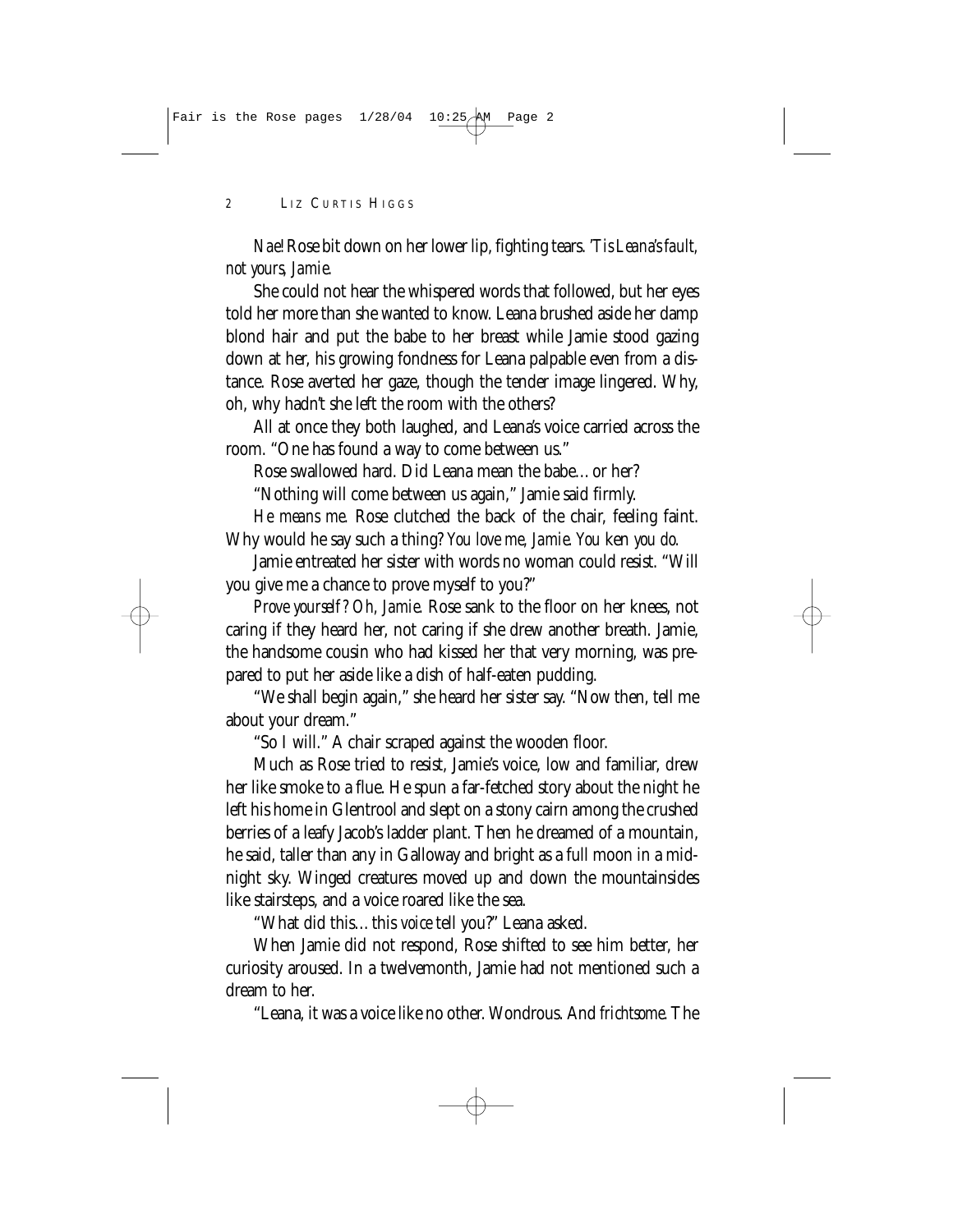*Nae!* Rose bit down on her lower lip, fighting tears. *'Tis Leana's fault, not yours, Jamie.*

She could not hear the whispered words that followed, but her eyes told her more than she wanted to know. Leana brushed aside her damp blond hair and put the babe to her breast while Jamie stood gazing down at her, his growing fondness for Leana palpable even from a distance. Rose averted her gaze, though the tender image lingered. Why, oh, why hadn't she left the room with the others?

All at once they both laughed, and Leana's voice carried across the room. "One has found a way to come between us."

Rose swallowed hard. Did Leana mean the babe…or her?

"Nothing will come between us again," Jamie said firmly.

*He means me.* Rose clutched the back of the chair, feeling faint. Why would he say such a thing? *You love me, Jamie. You* ken *you do.* 

Jamie entreated her sister with words no woman could resist. "Will you give me a chance to prove myself to you?"

*Prove yourself ? Oh, Jamie.* Rose sank to the floor on her knees, not caring if they heard her, not caring if she drew another breath. Jamie, the handsome cousin who had kissed her that very morning, was prepared to put her aside like a dish of half-eaten pudding.

"We shall begin again," she heard her sister say. "Now then, tell me about your dream."

"So I will." A chair scraped against the wooden floor.

Much as Rose tried to resist, Jamie's voice, low and familiar, drew her like smoke to a flue. He spun a far-fetched story about the night he left his home in Glentrool and slept on a stony cairn among the crushed berries of a leafy Jacob's ladder plant. Then he dreamed of a mountain, he said, taller than any in Galloway and bright as a full moon in a midnight sky. Winged creatures moved up and down the mountainsides like stairsteps, and a voice roared like the sea.

"What did this…this *voice* tell you?" Leana asked.

When Jamie did not respond, Rose shifted to see him better, her curiosity aroused. In a twelvemonth, Jamie had not mentioned such a dream to her.

"Leana, it was a voice like no other. Wondrous. And *frichtsome.*The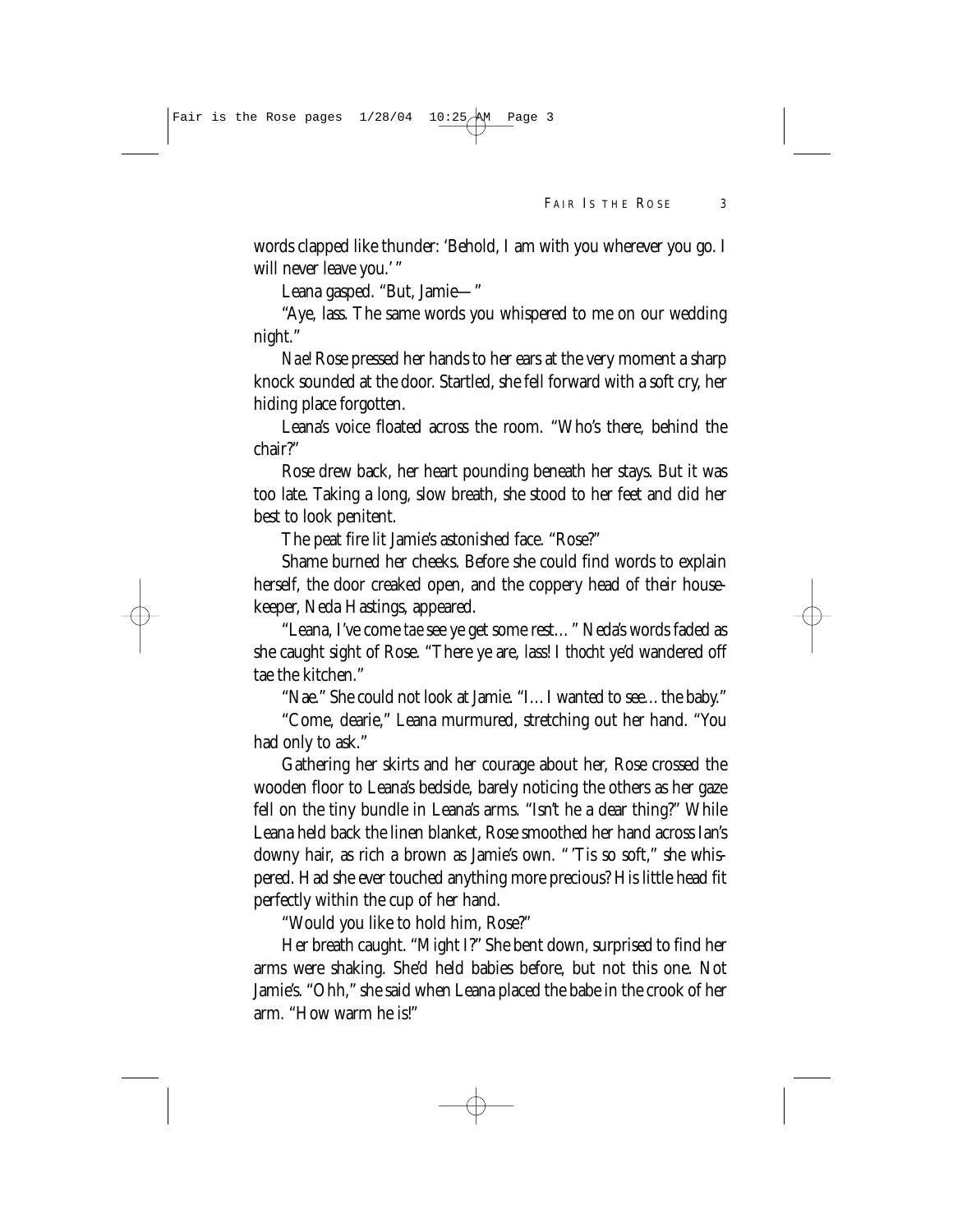words clapped like thunder: 'Behold, I am with you wherever you go. I will never leave you.'"

Leana gasped. "But, Jamie—"

"Aye, lass. The same words you whispered to me on our wedding night."

*Nae!* Rose pressed her hands to her ears at the very moment a sharp knock sounded at the door. Startled, she fell forward with a soft cry, her hiding place forgotten.

Leana's voice floated across the room. "Who's there, behind the chair?"

Rose drew back, her heart pounding beneath her stays. But it was too late. Taking a long, slow breath, she stood to her feet and did her best to look penitent.

The peat fire lit Jamie's astonished face. "Rose?"

Shame burned her cheeks. Before she could find words to explain herself, the door creaked open, and the coppery head of their housekeeper, Neda Hastings, appeared.

"Leana, I've come *tae* see ye get some rest…" Neda's words faded as she caught sight of Rose. "There ye are, lass! I *thocht* ye'd wandered off tae the kitchen."

"Nae." She could not look at Jamie. "I…I wanted to see…the baby."

"Come, dearie," Leana murmured, stretching out her hand. "You had only to ask."

Gathering her skirts and her courage about her, Rose crossed the wooden floor to Leana's bedside, barely noticing the others as her gaze fell on the tiny bundle in Leana's arms. "Isn't he a dear thing?" While Leana held back the linen blanket, Rose smoothed her hand across Ian's downy hair, as rich a brown as Jamie's own. " 'Tis so soft," she whispered. Had she ever touched anything more precious? His little head fit perfectly within the cup of her hand.

"Would you like to hold him, Rose?"

Her breath caught. "Might I?" She bent down, surprised to find her arms were shaking. She'd held babies before, but not this one. Not Jamie's. "Ohh," she said when Leana placed the babe in the crook of her arm. "How warm he is!"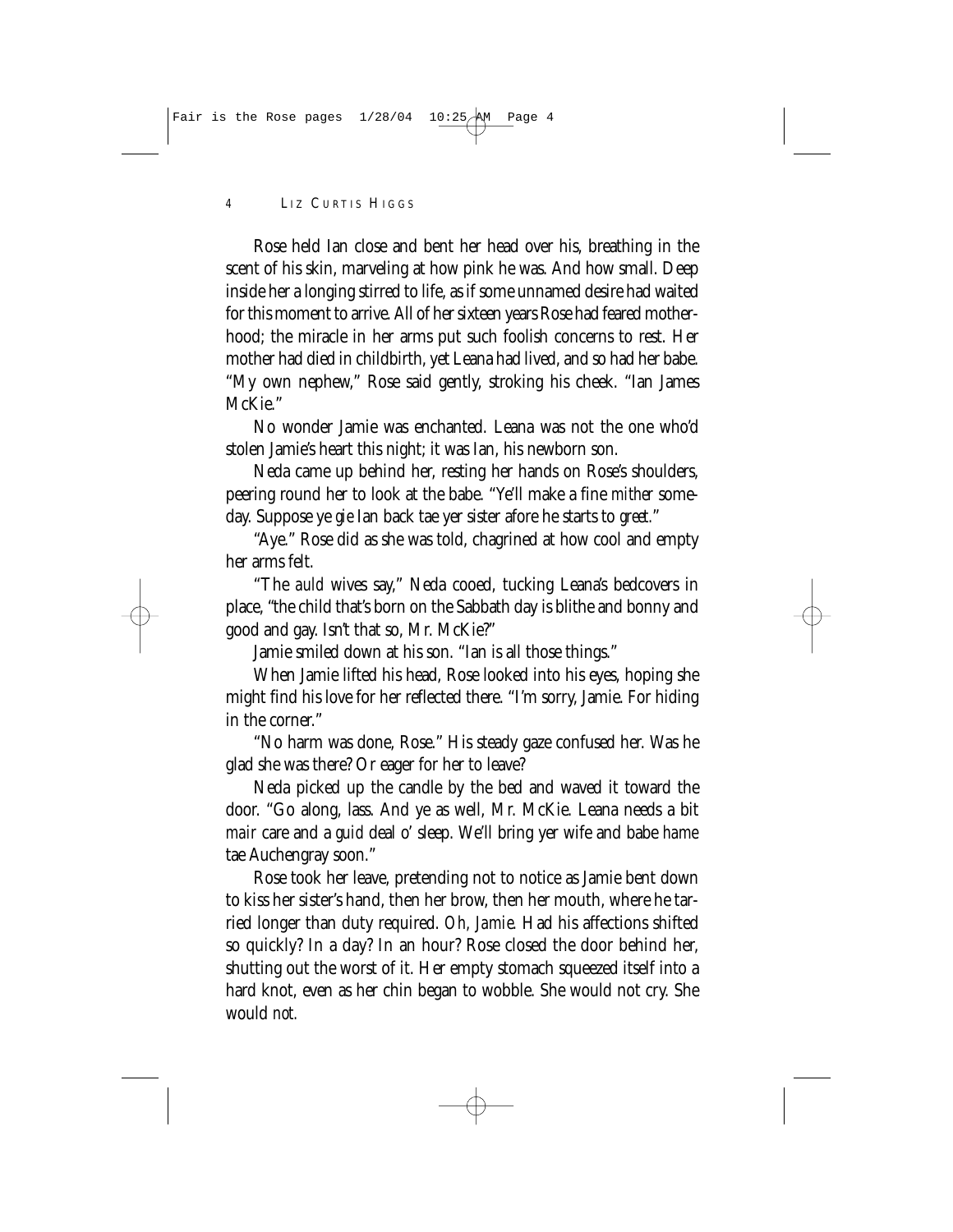Rose held Ian close and bent her head over his, breathing in the scent of his skin, marveling at how pink he was. And how small. Deep inside her a longing stirred to life, as if some unnamed desire had waited for this moment to arrive. All of her sixteen years Rose had feared motherhood; the miracle in her arms put such foolish concerns to rest. Her mother had died in childbirth, yet Leana had lived, and so had her babe. "My own nephew," Rose said gently, stroking his cheek. "Ian James McKie."

No wonder Jamie was enchanted. Leana was not the one who'd stolen Jamie's heart this night; it was Ian, his newborn son.

Neda came up behind her, resting her hands on Rose's shoulders, peering round her to look at the babe. "Ye'll make a fine *mither* someday. Suppose ye *gie* Ian back tae yer sister afore he starts to *greet.*"

"Aye." Rose did as she was told, chagrined at how cool and empty her arms felt.

"The *auld* wives say," Neda cooed, tucking Leana's bedcovers in place, "the child that's born on the Sabbath day is blithe and bonny and good and gay. Isn't that so, Mr. McKie?"

Jamie smiled down at his son. "Ian is all those things."

When Jamie lifted his head, Rose looked into his eyes, hoping she might find his love for her reflected there. "I'm sorry, Jamie. For hiding in the corner."

"No harm was done, Rose." His steady gaze confused her. Was he glad she was there? Or eager for her to leave?

Neda picked up the candle by the bed and waved it toward the door. "Go along, lass. And ye as well, Mr. McKie. Leana needs a bit *mair* care and a *guid* deal o' sleep. We'll bring yer wife and babe *hame* tae Auchengray soon."

Rose took her leave, pretending not to notice as Jamie bent down to kiss her sister's hand, then her brow, then her mouth, where he tarried longer than duty required. *Oh, Jamie.* Had his affections shifted so quickly? In a day? In an hour? Rose closed the door behind her, shutting out the worst of it. Her empty stomach squeezed itself into a hard knot, even as her chin began to wobble. She would not cry. She would *not.*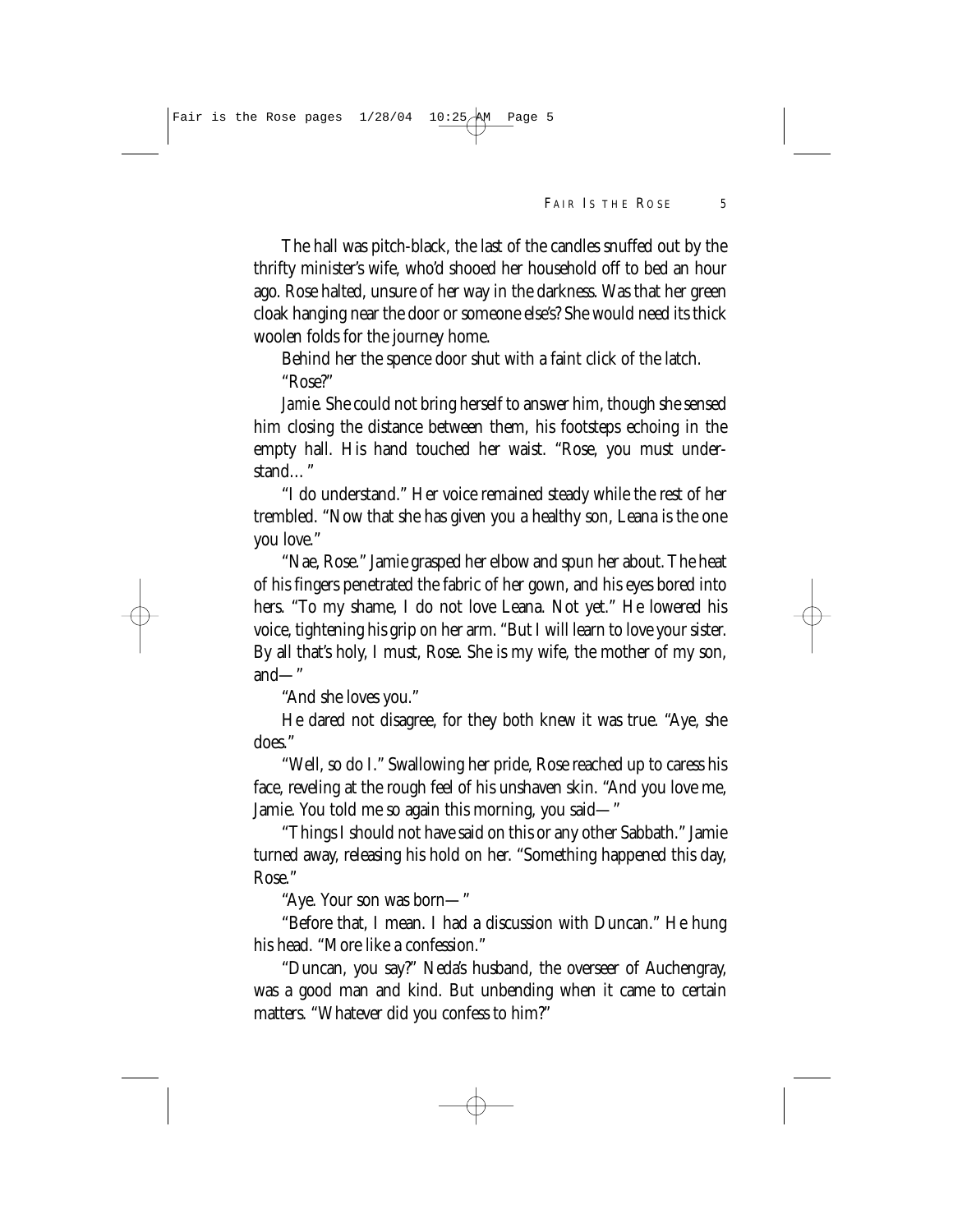The hall was pitch-black, the last of the candles snuffed out by the thrifty minister's wife, who'd shooed her household off to bed an hour ago. Rose halted, unsure of her way in the darkness. Was that her green cloak hanging near the door or someone else's? She would need its thick woolen folds for the journey home.

Behind her the spence door shut with a faint click of the latch. "Rose?"

*Jamie.* She could not bring herself to answer him, though she sensed him closing the distance between them, his footsteps echoing in the empty hall. His hand touched her waist. "Rose, you must understand…"

"I do understand." Her voice remained steady while the rest of her trembled. "Now that she has given you a healthy son, Leana is the one you love."

"Nae, Rose." Jamie grasped her elbow and spun her about. The heat of his fingers penetrated the fabric of her gown, and his eyes bored into hers. "To my shame, I do not love Leana. Not yet." He lowered his voice, tightening his grip on her arm. "But I will learn to love your sister. By all that's holy, I must, Rose. She is my wife, the mother of my son, and—"

"And she loves you."

He dared not disagree, for they both knew it was true. "Aye, she does."

"Well, so do I." Swallowing her pride, Rose reached up to caress his face, reveling at the rough feel of his unshaven skin. "And you love me, Jamie. You told me so again this morning, you said—"

"Things I should not have said on this or any other Sabbath." Jamie turned away, releasing his hold on her. "Something happened this day, Rose."

"Aye. Your son was born—"

"Before that, I mean. I had a discussion with Duncan." He hung his head. "More like a confession."

"Duncan, you say?" Neda's husband, the overseer of Auchengray, was a good man and kind. But unbending when it came to certain matters. "Whatever did you confess to him?"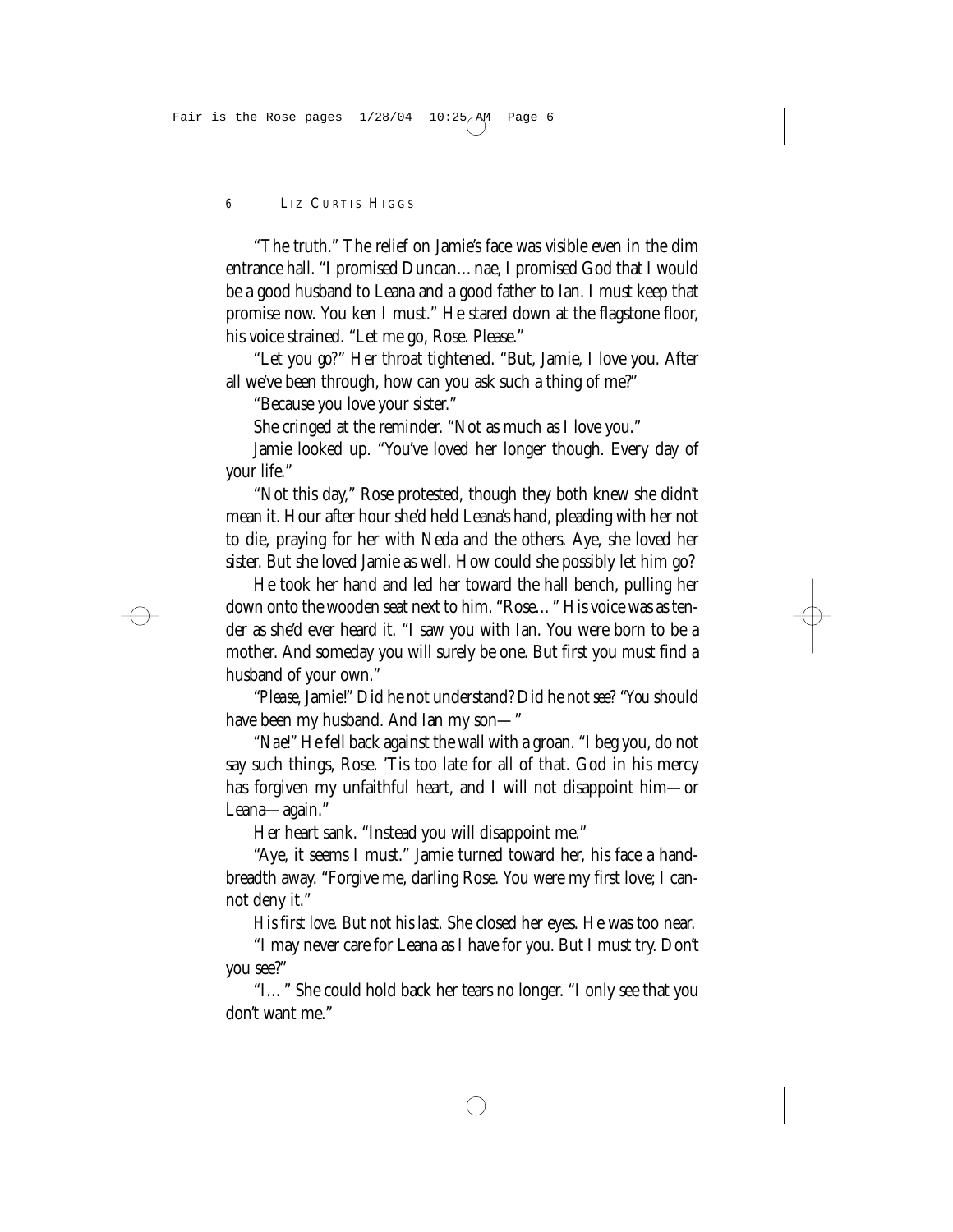"The truth." The relief on Jamie's face was visible even in the dim entrance hall. "I promised Duncan…nae, I promised God that I would be a good husband to Leana and a good father to Ian. I must keep that promise now. You ken I must." He stared down at the flagstone floor, his voice strained. "Let me go, Rose. Please."

"Let you *go?*" Her throat tightened. "But, Jamie, I love you. After all we've been through, how can you ask such a thing of me?"

"Because you love your sister."

She cringed at the reminder. "Not as much as I love you."

Jamie looked up. "You've loved her longer though. Every day of your life."

"Not this day," Rose protested, though they both knew she didn't mean it. Hour after hour she'd held Leana's hand, pleading with her not to die, praying for her with Neda and the others. Aye, she loved her sister. But she loved Jamie as well. How could she possibly let him go?

He took her hand and led her toward the hall bench, pulling her down onto the wooden seat next to him. "Rose…" His voice was as tender as she'd ever heard it. "I saw you with Ian. You were born to be a mother. And someday you will surely be one. But first you must find a husband of your own."

"*Please,* Jamie!" Did he not understand? Did he not *see?* "*You* should have been my husband. And Ian my son—"

*"Nae!"* He fell back against the wall with a groan. "I beg you, do not say such things, Rose. 'Tis too late for all of that. God in his mercy has forgiven my unfaithful heart, and I will not disappoint him—or Leana—again."

Her heart sank. "Instead you will disappoint me."

"Aye, it seems I must." Jamie turned toward her, his face a handbreadth away. "Forgive me, darling Rose. You were my first love; I cannot deny it."

*His first love. But not his last.* She closed her eyes. He was too near.

"I may never care for Leana as I have for you. But I must try. Don't you see?"

"I…" She could hold back her tears no longer. "I only see that you don't want me."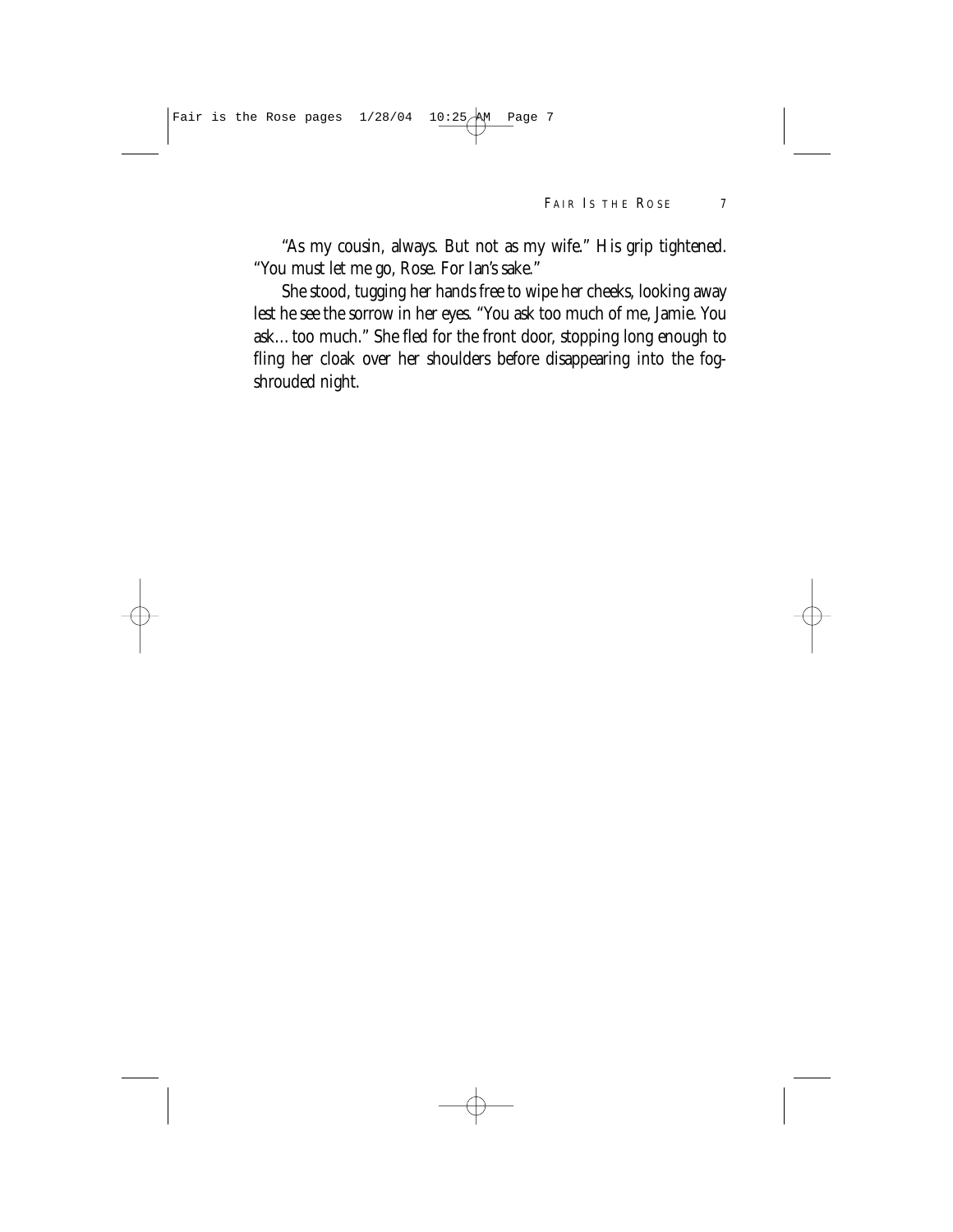"As my cousin, always. But not as my wife." His grip tightened. "You must let me go, Rose. For Ian's sake."

She stood, tugging her hands free to wipe her cheeks, looking away lest he see the sorrow in her eyes. "You ask too much of me, Jamie. You ask…too much." She fled for the front door, stopping long enough to fling her cloak over her shoulders before disappearing into the fogshrouded night.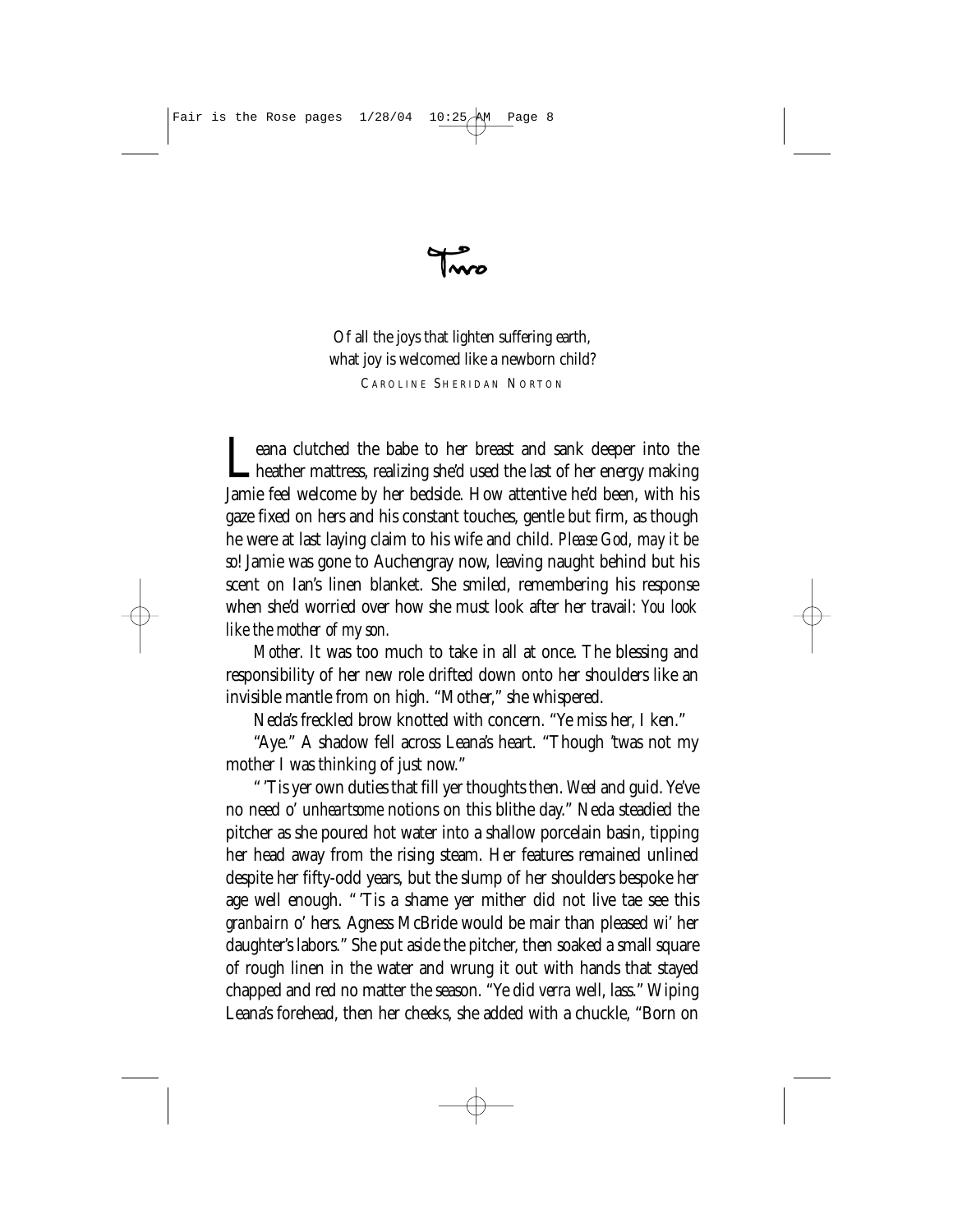Two

Of all the joys that lighten suffering earth, what joy is welcomed like a newborn child? CAROLINE SHERIDAN NORTON

Leana clutched the babe to her breast and sank deeper into the<br>heather mattress, realizing she'd used the last of her energy making Jamie feel welcome by her bedside. How attentive he'd been, with his gaze fixed on hers and his constant touches, gentle but firm, as though he were at last laying claim to his wife and child. *Please God, may it be so!* Jamie was gone to Auchengray now, leaving naught behind but his scent on Ian's linen blanket. She smiled, remembering his response when she'd worried over how she must look after her travail: *You look like the mother of my son.*

*Mother.* It was too much to take in all at once. The blessing and responsibility of her new role drifted down onto her shoulders like an invisible mantle from on high. "Mother," she whispered.

Neda's freckled brow knotted with concern. "Ye miss her, I ken."

"Aye." A shadow fell across Leana's heart. "Though 'twas not my mother I was thinking of just now."

" 'Tis yer own duties that fill yer thoughts then. *Weel* and guid. Ye've no need o' *unheartsome* notions on this blithe day." Neda steadied the pitcher as she poured hot water into a shallow porcelain basin, tipping her head away from the rising steam. Her features remained unlined despite her fifty-odd years, but the slump of her shoulders bespoke her age well enough. " 'Tis a shame yer mither did not live tae see this *granbairn* o' hers. Agness McBride would be mair than pleased *wi'* her daughter's labors." She put aside the pitcher, then soaked a small square of rough linen in the water and wrung it out with hands that stayed chapped and red no matter the season. "Ye did *verra* well, lass." Wiping Leana's forehead, then her cheeks, she added with a chuckle, "Born on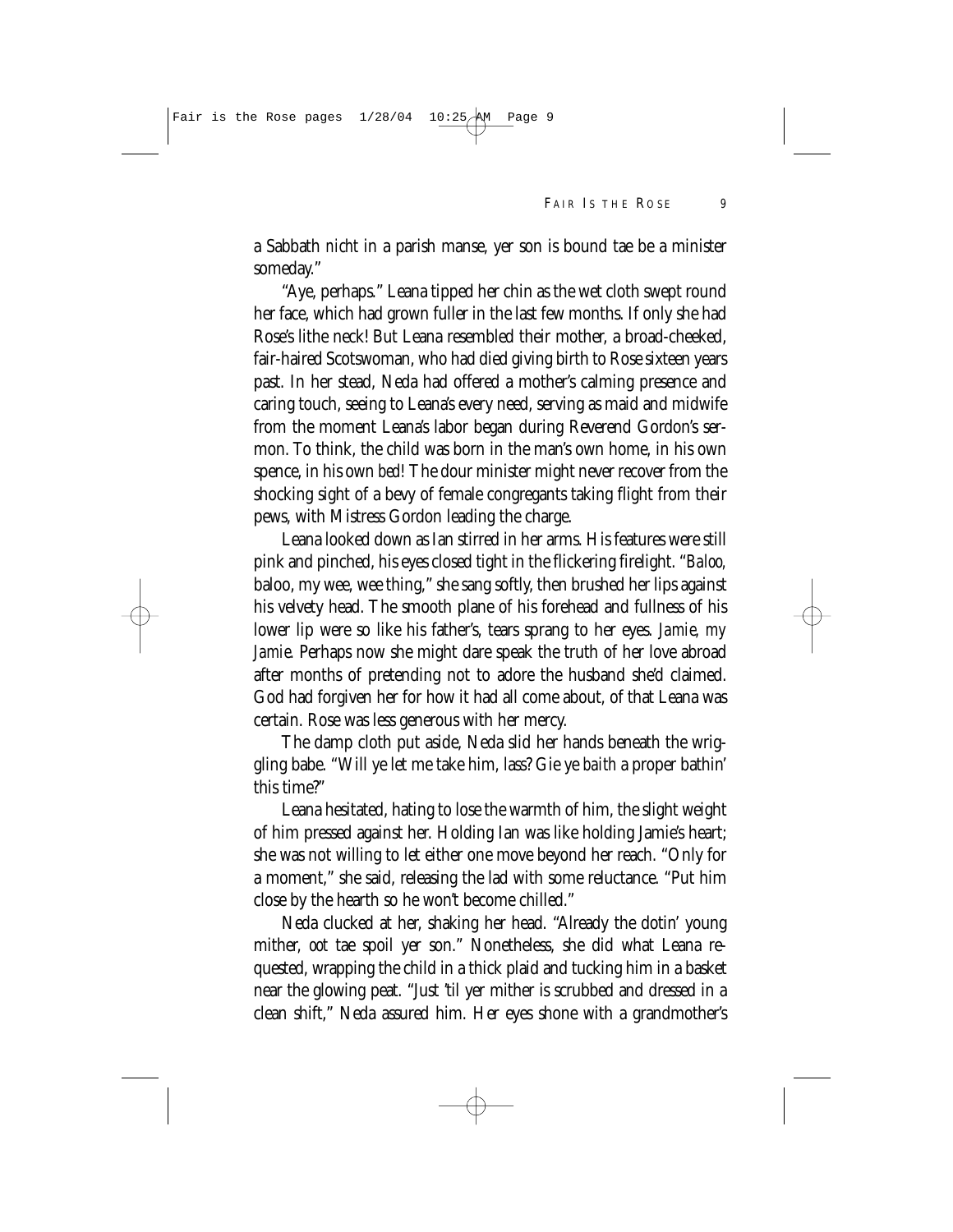a Sabbath *nicht* in a parish manse, yer son is bound tae be a minister someday."

"Aye, perhaps." Leana tipped her chin as the wet cloth swept round her face, which had grown fuller in the last few months. If only she had Rose's lithe neck! But Leana resembled their mother, a broad-cheeked, fair-haired Scotswoman, who had died giving birth to Rose sixteen years past. In her stead, Neda had offered a mother's calming presence and caring touch, seeing to Leana's every need, serving as maid and midwife from the moment Leana's labor began during Reverend Gordon's sermon. To think, the child was born in the man's own home, in his own spence, in his own *bed!* The dour minister might never recover from the shocking sight of a bevy of female congregants taking flight from their pews, with Mistress Gordon leading the charge.

Leana looked down as Ian stirred in her arms. His features were still pink and pinched, his eyes closed tight in the flickering firelight. "*Baloo,* baloo, my wee, wee thing," she sang softly, then brushed her lips against his velvety head. The smooth plane of his forehead and fullness of his lower lip were so like his father's, tears sprang to her eyes. *Jamie, my Jamie.* Perhaps now she might dare speak the truth of her love abroad after months of pretending not to adore the husband she'd claimed. God had forgiven her for how it had all come about, of that Leana was certain. Rose was less generous with her mercy.

The damp cloth put aside, Neda slid her hands beneath the wriggling babe. "Will ye let me take him, lass? Gie ye *baith* a proper bathin' this time?"

Leana hesitated, hating to lose the warmth of him, the slight weight of him pressed against her. Holding Ian was like holding Jamie's heart; she was not willing to let either one move beyond her reach. "Only for a moment," she said, releasing the lad with some reluctance. "Put him close by the hearth so he won't become chilled."

Neda clucked at her, shaking her head. "Already the dotin' young mither, *oot* tae spoil yer son." Nonetheless, she did what Leana requested, wrapping the child in a thick plaid and tucking him in a basket near the glowing peat. "Just 'til yer mither is scrubbed and dressed in a clean shift," Neda assured him. Her eyes shone with a grandmother's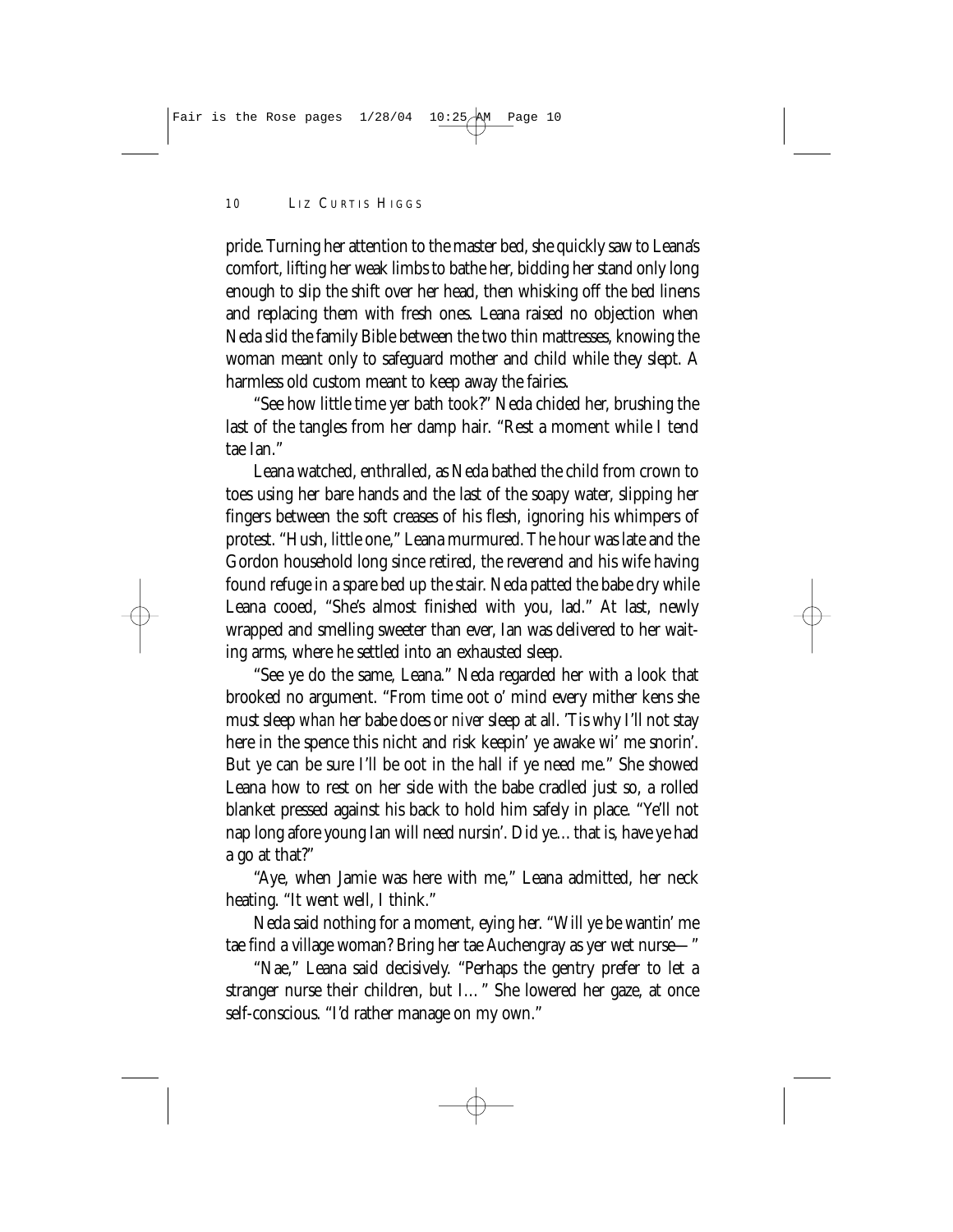pride. Turning her attention to the master bed, she quickly saw to Leana's comfort, lifting her weak limbs to bathe her, bidding her stand only long enough to slip the shift over her head, then whisking off the bed linens and replacing them with fresh ones. Leana raised no objection when Neda slid the family Bible between the two thin mattresses, knowing the woman meant only to safeguard mother and child while they slept. A harmless old custom meant to keep away the fairies.

"See how little time yer bath took?" Neda chided her, brushing the last of the tangles from her damp hair. "Rest a moment while I tend tae Ian."

Leana watched, enthralled, as Neda bathed the child from crown to toes using her bare hands and the last of the soapy water, slipping her fingers between the soft creases of his flesh, ignoring his whimpers of protest. "Hush, little one," Leana murmured. The hour was late and the Gordon household long since retired, the reverend and his wife having found refuge in a spare bed up the stair. Neda patted the babe dry while Leana cooed, "She's almost finished with you, lad." At last, newly wrapped and smelling sweeter than ever, Ian was delivered to her waiting arms, where he settled into an exhausted sleep.

"See ye do the same, Leana." Neda regarded her with a look that brooked no argument. "From time oot o' mind every mither kens she must sleep *whan* her babe does or *niver* sleep at all. 'Tis why I'll not stay here in the spence this nicht and risk keepin' ye awake wi' me snorin'. But ye can be sure I'll be oot in the hall if ye need me." She showed Leana how to rest on her side with the babe cradled just so, a rolled blanket pressed against his back to hold him safely in place. "Ye'll not nap long afore young Ian will need nursin'. Did ye…that is, have ye had a go at that?"

"Aye, when Jamie was here with me," Leana admitted, her neck heating. "It went well, I think."

Neda said nothing for a moment, eying her. "Will ye be wantin' me tae find a village woman? Bring her tae Auchengray as yer wet nurse—"

"Nae," Leana said decisively. "Perhaps the gentry prefer to let a stranger nurse their children, but I…" She lowered her gaze, at once self-conscious. "I'd rather manage on my own."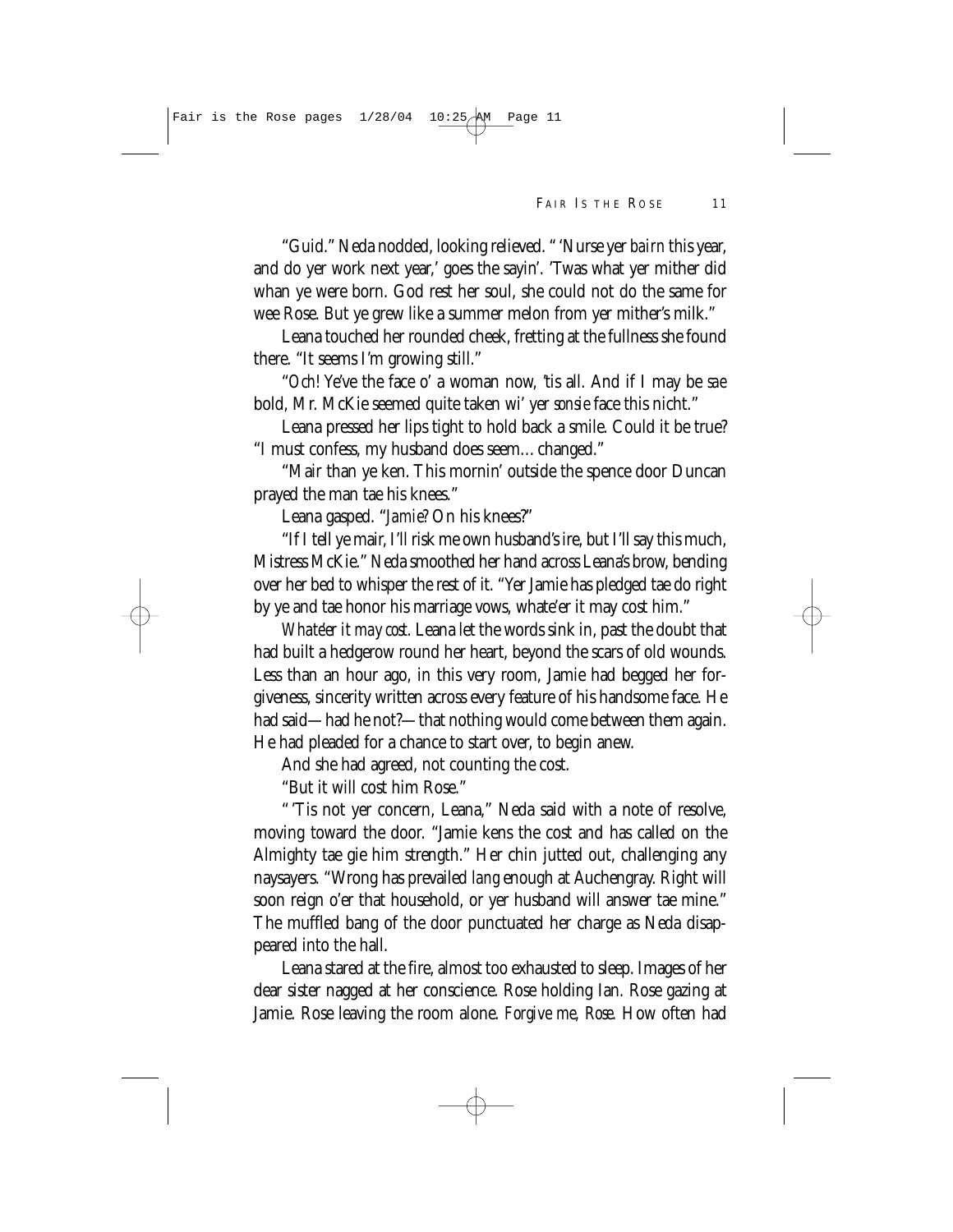"Guid." Neda nodded, looking relieved. " 'Nurse yer *bairn* this year, and do yer work next year,' goes the sayin'. 'Twas what yer mither did whan ye were born. God rest her soul, she could not do the same for wee Rose. But ye grew like a summer melon from yer mither's milk."

Leana touched her rounded cheek, fretting at the fullness she found there. "It seems I'm growing still."

"*Och!* Ye've the face o' a woman now, 'tis all. And if I may be *sae* bold, Mr. McKie seemed quite taken wi' yer *sonsie* face this nicht."

Leana pressed her lips tight to hold back a smile. Could it be true? "I must confess, my husband does seem…changed."

"Mair than ye ken. This mornin' outside the spence door Duncan prayed the man tae his knees."

Leana gasped. "*Jamie?* On his knees?"

"If I tell ye mair, I'll risk me own husband's ire, but I'll say this much, Mistress McKie." Neda smoothed her hand across Leana's brow, bending over her bed to whisper the rest of it. "Yer Jamie has pledged tae do right by ye and tae honor his marriage vows, whate'er it may cost him."

*Whate'er it may cost.* Leana let the words sink in, past the doubt that had built a hedgerow round her heart, beyond the scars of old wounds. Less than an hour ago, in this very room, Jamie had begged her forgiveness, sincerity written across every feature of his handsome face. He had said—had he not?—that nothing would come between them again. He had pleaded for a chance to start over, to begin anew.

And she had agreed, not counting the cost.

"But it will cost him Rose."

" 'Tis not yer concern, Leana," Neda said with a note of resolve, moving toward the door. "Jamie kens the cost and has called on the Almighty tae gie him strength." Her chin jutted out, challenging any naysayers. "Wrong has prevailed *lang* enough at Auchengray. Right will soon reign o'er that household, or yer husband will answer tae mine." The muffled bang of the door punctuated her charge as Neda disappeared into the hall.

Leana stared at the fire, almost too exhausted to sleep. Images of her dear sister nagged at her conscience. Rose holding Ian. Rose gazing at Jamie. Rose leaving the room alone. *Forgive me, Rose.* How often had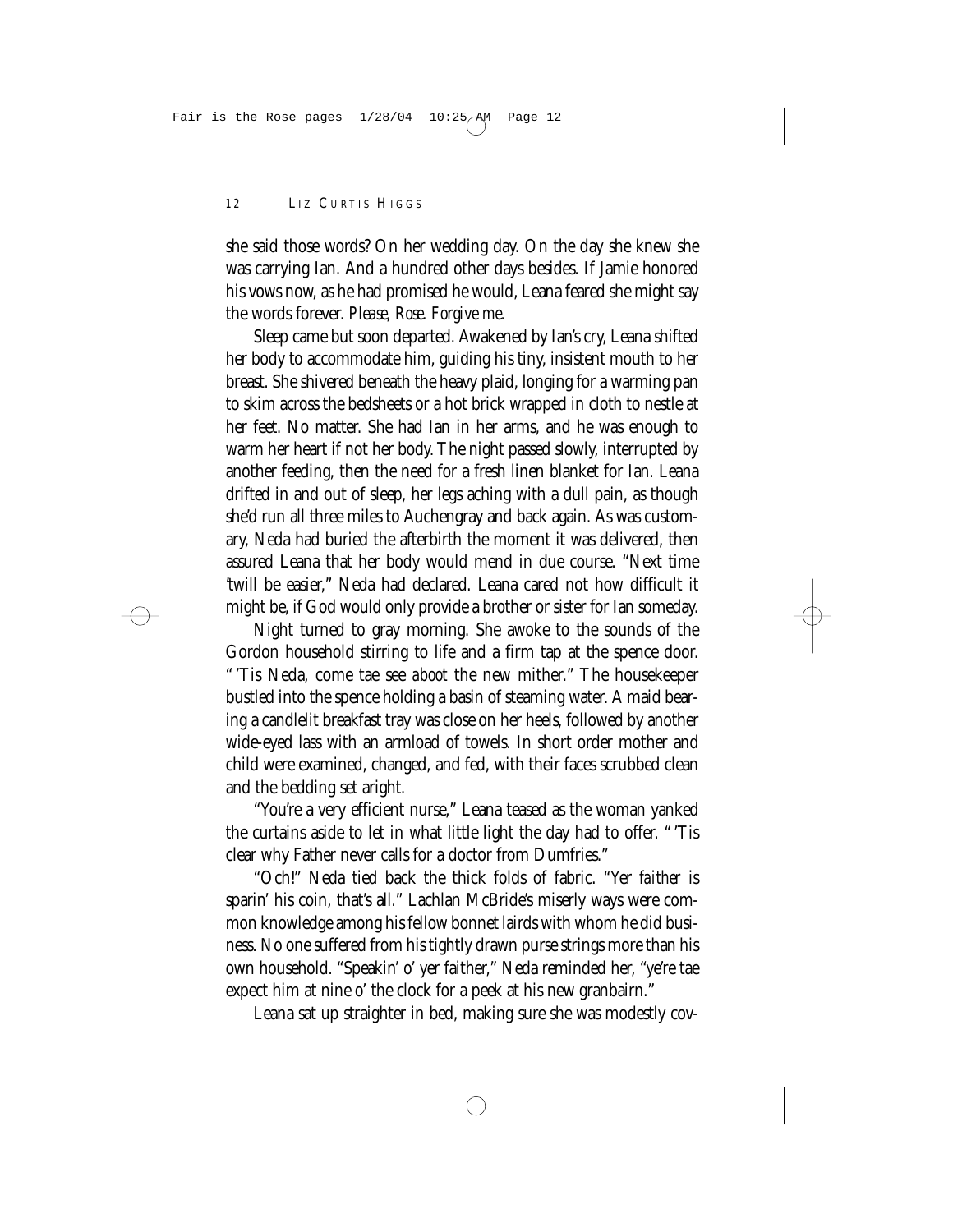she said those words? On her wedding day. On the day she knew she was carrying Ian. And a hundred other days besides. If Jamie honored his vows now, as he had promised he would, Leana feared she might say the words forever. *Please, Rose. Forgive me.*

Sleep came but soon departed. Awakened by Ian's cry, Leana shifted her body to accommodate him, guiding his tiny, insistent mouth to her breast. She shivered beneath the heavy plaid, longing for a warming pan to skim across the bedsheets or a hot brick wrapped in cloth to nestle at her feet. No matter. She had Ian in her arms, and he was enough to warm her heart if not her body. The night passed slowly, interrupted by another feeding, then the need for a fresh linen blanket for Ian. Leana drifted in and out of sleep, her legs aching with a dull pain, as though she'd run all three miles to Auchengray and back again. As was customary, Neda had buried the afterbirth the moment it was delivered, then assured Leana that her body would mend in due course. "Next time 'twill be easier," Neda had declared. Leana cared not how difficult it might be, if God would only provide a brother or sister for Ian someday.

Night turned to gray morning. She awoke to the sounds of the Gordon household stirring to life and a firm tap at the spence door. " 'Tis Neda, come tae see *aboot* the new mither." The housekeeper bustled into the spence holding a basin of steaming water. A maid bearing a candlelit breakfast tray was close on her heels, followed by another wide-eyed lass with an armload of towels. In short order mother and child were examined, changed, and fed, with their faces scrubbed clean and the bedding set aright.

"You're a very efficient nurse," Leana teased as the woman yanked the curtains aside to let in what little light the day had to offer. " 'Tis clear why Father never calls for a doctor from Dumfries."

"Och!" Neda tied back the thick folds of fabric. "Yer *faither* is sparin' his coin, that's all." Lachlan McBride's miserly ways were common knowledge among his fellow bonnet lairds with whom he did business. No one suffered from his tightly drawn purse strings more than his own household. "Speakin' o' yer faither," Neda reminded her, "ye're tae expect him at nine o' the clock for a peek at his new granbairn."

Leana sat up straighter in bed, making sure she was modestly cov-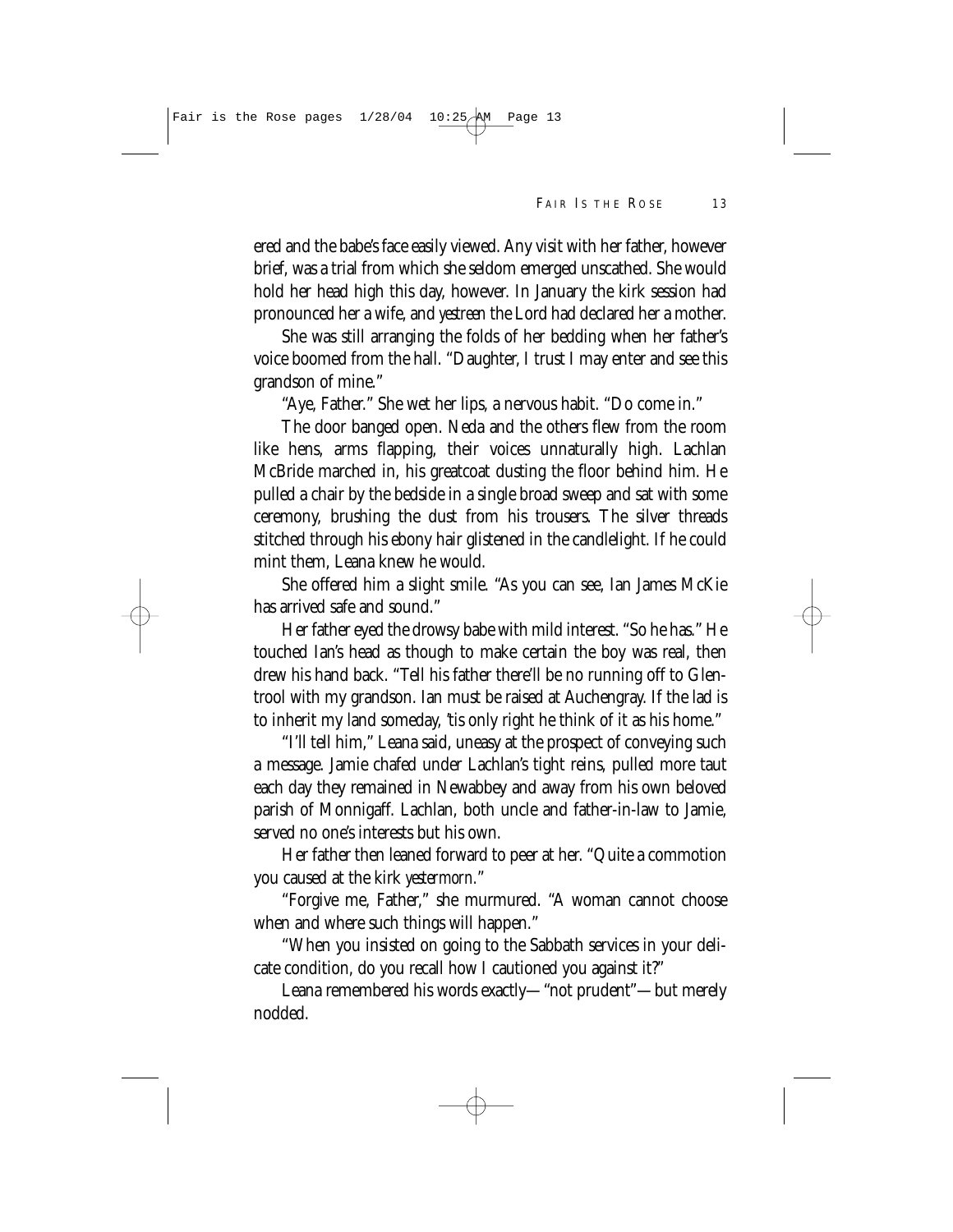ered and the babe's face easily viewed. Any visit with her father, however brief, was a trial from which she seldom emerged unscathed. She would hold her head high this day, however. In January the kirk session had pronounced her a wife, and *yestreen* the Lord had declared her a mother.

She was still arranging the folds of her bedding when her father's voice boomed from the hall. "Daughter, I trust I may enter and see this grandson of mine."

"Aye, Father." She wet her lips, a nervous habit. "Do come in."

The door banged open. Neda and the others flew from the room like hens, arms flapping, their voices unnaturally high. Lachlan McBride marched in, his greatcoat dusting the floor behind him. He pulled a chair by the bedside in a single broad sweep and sat with some ceremony, brushing the dust from his trousers. The silver threads stitched through his ebony hair glistened in the candlelight. If he could mint them, Leana knew he would.

She offered him a slight smile. "As you can see, Ian James McKie has arrived safe and sound."

Her father eyed the drowsy babe with mild interest. "So he has." He touched Ian's head as though to make certain the boy was real, then drew his hand back. "Tell his father there'll be no running off to Glentrool with my grandson. Ian must be raised at Auchengray. If the lad is to inherit my land someday, 'tis only right he think of it as his home."

"I'll tell him," Leana said, uneasy at the prospect of conveying such a message. Jamie chafed under Lachlan's tight reins, pulled more taut each day they remained in Newabbey and away from his own beloved parish of Monnigaff. Lachlan, both uncle and father-in-law to Jamie, served no one's interests but his own.

Her father then leaned forward to peer at her. "Quite a commotion you caused at the kirk *yestermorn.*"

"Forgive me, Father," she murmured. "A woman cannot choose when and where such things will happen."

"When you insisted on going to the Sabbath services in your delicate condition, do you recall how I cautioned you against it?"

Leana remembered his words exactly—"not prudent"—but merely nodded.